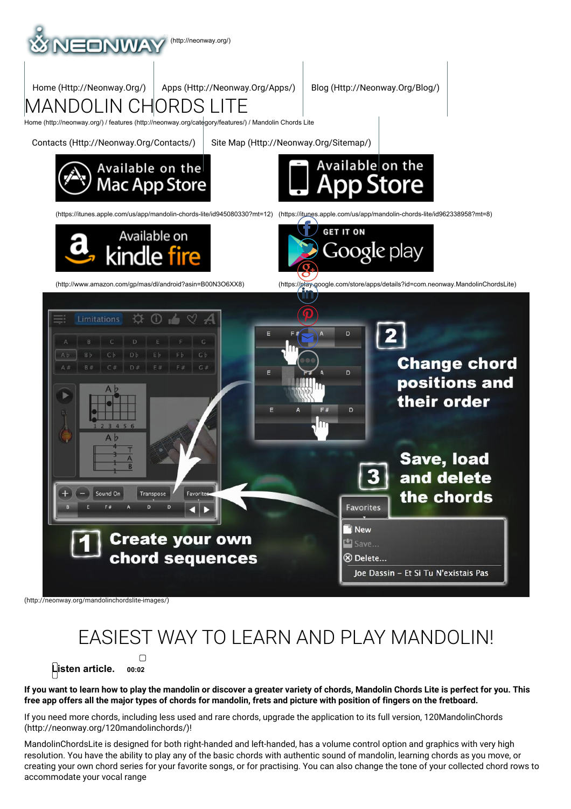

(http://neonway.org/mandolinchordslite-images/)

# EASIEST WAY TO LEARN AND PLAY MANDOLIN!

 $\Box$ **Listen article. 00:02**

If you want to learn how to play the mandolin or discover a greater variety of chords, Mandolin Chords Lite is perfect for you. This free app offers all the major types of chords for mandolin, frets and picture with position of fingers on the fretboard.

If you need more chords, including less used and rare chords, upgrade the application to its full version, 120MandolinChords (http://neonway.org/120mandolinchords/)!

MandolinChordsLite is designed for both right-handed and left-handed, has a volume control option and graphics with very high resolution. You have the ability to play any of the basic chords with authentic sound of mandolin, learning chords as you move, or creating your own chord series for your favorite songs, or for practising. You can also change the tone of your collected chord rows to accommodate your vocal range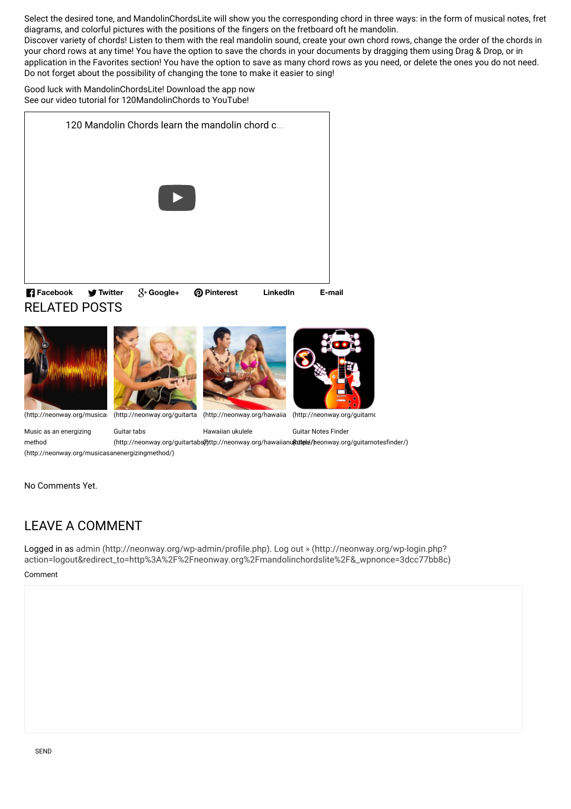Select the desired tone, and MandolinChordsLite will show you the corresponding chord in three ways: in the form of musical notes, fret diagrams, and colorful pictures with the positions of the fingers on the fretboard oft he mandolin.

Discover variety of chords! Listen to them with the real mandolin sound, create your own chord rows, change the order of the chords in your chord rows at any time! You have the option to save the chords in your documents by dragging them using Drag & Drop, or in application in the Favorites section! You have the option to save as many chord rows as you need, or delete the ones you do not need. Do not forget about the possibility of changing the tone to make it easier to sing!

Good luck with MandolinChordsLite! Download the app now See our video tutorial for 120MandolinChords to YouTube!





Music as an energizing method (http://neonway.org/musicasanenergizingmethod/) Guitar tabs (http://neonway.org/guitartabs(ł)ttp://neonway.org/hawaiianu**(kutele/)**neonway.org/guitarnotesfinder/) Hawaiian ukulele Guitar Notes Finder

No Comments Yet.

## LEAVE A COMMENT

Comment Logged in as admin (http://neonway.org/wp-admin/profile.php). Log out » (http://neonway.org/wp-login.php? action=logout&redirect\_to=http%3A%2F%2Fneonway.org%2Fmandolinchordslite%2F&\_wpnonce=3dcc77bb8c)